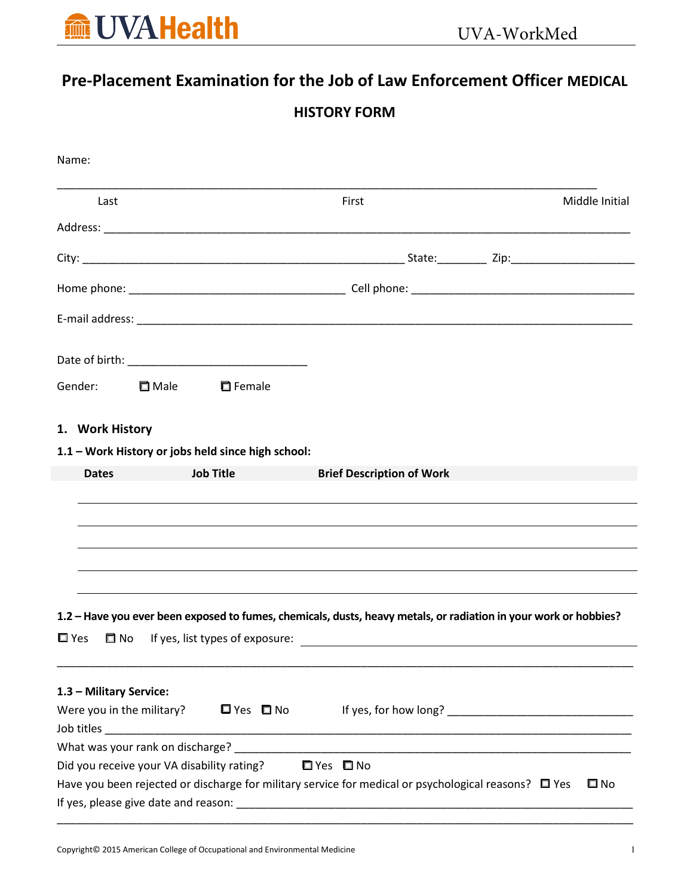

# Pre-Placement Examination for the Job of Law Enforcement Officer MEDICAL

## HISTORY FORM

| Last                      |             |                                                    | First                            | Middle Initial                                                                                                            |
|---------------------------|-------------|----------------------------------------------------|----------------------------------|---------------------------------------------------------------------------------------------------------------------------|
|                           |             |                                                    |                                  |                                                                                                                           |
|                           |             |                                                    |                                  |                                                                                                                           |
|                           |             |                                                    |                                  |                                                                                                                           |
|                           |             |                                                    |                                  |                                                                                                                           |
|                           |             |                                                    |                                  |                                                                                                                           |
| Gender:                   | $\Box$ Male | $\Box$ Female                                      |                                  |                                                                                                                           |
| 1. Work History           |             |                                                    |                                  |                                                                                                                           |
|                           |             | 1.1 - Work History or jobs held since high school: |                                  |                                                                                                                           |
| <b>Dates</b>              |             | <b>Job Title</b>                                   | <b>Brief Description of Work</b> |                                                                                                                           |
|                           |             |                                                    |                                  |                                                                                                                           |
|                           |             |                                                    |                                  |                                                                                                                           |
|                           |             |                                                    |                                  |                                                                                                                           |
|                           |             |                                                    |                                  |                                                                                                                           |
|                           |             |                                                    |                                  |                                                                                                                           |
|                           |             |                                                    |                                  |                                                                                                                           |
|                           |             |                                                    |                                  |                                                                                                                           |
|                           |             |                                                    |                                  | 1.2 – Have you ever been exposed to fumes, chemicals, dusts, heavy metals, or radiation in your work or hobbies?          |
| $\square$ Yes             |             |                                                    |                                  | □ No lf yes, list types of exposure:<br>□ No lf yes, list types of exposure:                                              |
|                           |             |                                                    |                                  |                                                                                                                           |
| 1.3 - Military Service:   |             |                                                    |                                  |                                                                                                                           |
| Were you in the military? |             |                                                    |                                  |                                                                                                                           |
|                           |             |                                                    |                                  |                                                                                                                           |
|                           |             |                                                    |                                  |                                                                                                                           |
|                           |             |                                                    |                                  |                                                                                                                           |
|                           |             | Did you receive your VA disability rating?         | $\Box$ Yes $\Box$ No             |                                                                                                                           |
|                           |             |                                                    |                                  | Have you been rejected or discharge for military service for medical or psychological reasons? $\Box$ Yes<br>$\square$ No |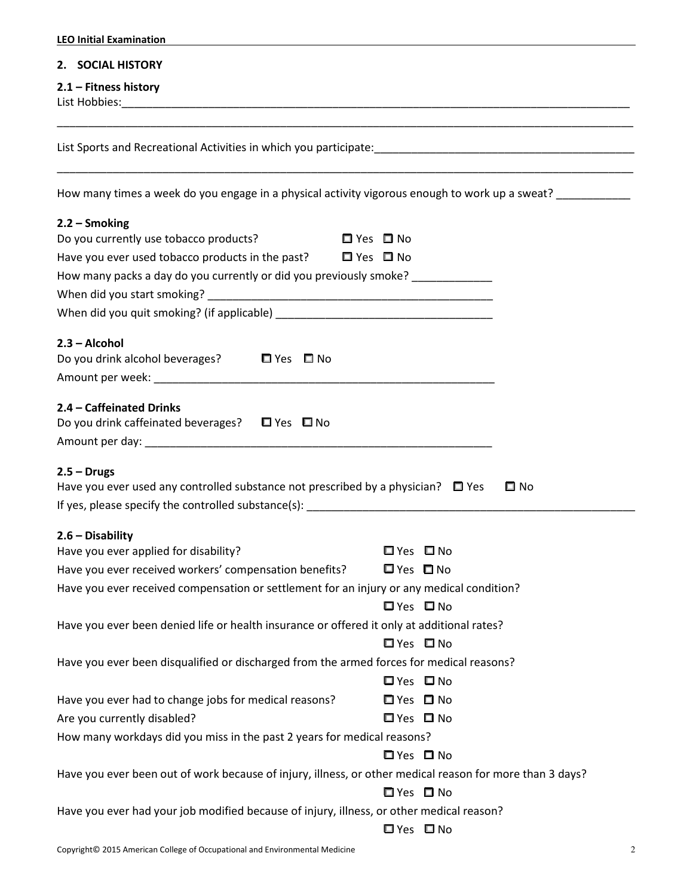| <b>LEO Initial Examination</b>                                                                                                                                                                                         |                                                                      |
|------------------------------------------------------------------------------------------------------------------------------------------------------------------------------------------------------------------------|----------------------------------------------------------------------|
| 2. SOCIAL HISTORY                                                                                                                                                                                                      |                                                                      |
| $2.1$ – Fitness history                                                                                                                                                                                                |                                                                      |
| List Sports and Recreational Activities in which you participate: https://www.com/www.com/www.com/www.com/www.                                                                                                         |                                                                      |
| How many times a week do you engage in a physical activity vigorous enough to work up a sweat? ___________                                                                                                             |                                                                      |
| $2.2 -$ Smoking<br>Do you currently use tobacco products?<br>Have you ever used tobacco products in the past? $\Box$ Yes $\Box$ No<br>How many packs a day do you currently or did you previously smoke? _____________ | □ Yes □ No                                                           |
| $2.3 - Alcohol$<br>Do you drink alcohol beverages?<br>□ Yes □ No                                                                                                                                                       |                                                                      |
| 2.4 - Caffeinated Drinks<br>Do you drink caffeinated beverages? $\Box$ Yes $\Box$ No<br>$2.5 - Drugs$                                                                                                                  |                                                                      |
| Have you ever used any controlled substance not prescribed by a physician? $\Box$ Yes                                                                                                                                  | $\square$ No                                                         |
| $2.6 - Disability$<br>Have you ever applied for disability?<br>Have you ever received workers' compensation benefits?<br>Have you ever received compensation or settlement for an injury or any medical condition?     | $\Box$ Yes $\Box$ No<br>$\Box$ Yes $\Box$ No<br>$\Box$ Yes $\Box$ No |
| Have you ever been denied life or health insurance or offered it only at additional rates?                                                                                                                             | $\Box$ Yes $\Box$ No                                                 |
| Have you ever been disqualified or discharged from the armed forces for medical reasons?                                                                                                                               | $\Box$ Yes $\Box$ No                                                 |
| Have you ever had to change jobs for medical reasons?<br>Are you currently disabled?<br>How many workdays did you miss in the past 2 years for medical reasons?                                                        | □ Yes □ No<br>$\Box$ Yes $\Box$ No                                   |
| Have you ever been out of work because of injury, illness, or other medical reason for more than 3 days?                                                                                                               | $\Box$ Yes $\Box$ No<br>$\Box$ Yes $\Box$ No                         |
| Have you ever had your job modified because of injury, illness, or other medical reason?                                                                                                                               | $\Box$ Yes $\Box$ No                                                 |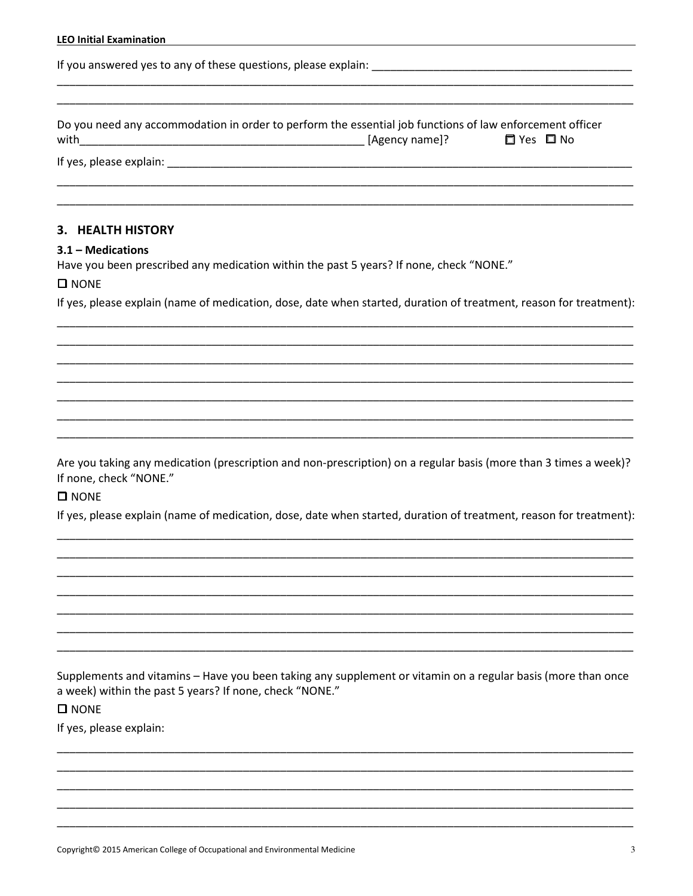|  |  |  | <b>LEO Initial Examination</b> |
|--|--|--|--------------------------------|
|--|--|--|--------------------------------|

If you answered yes to any of these questions, please explain:

Do you need any accommodation in order to perform the essential job functions of law enforcement officer □ Yes □ No

#### 3. HEALTH HISTORY

#### $3.1 -$  Medications

Have you been prescribed any medication within the past 5 years? If none, check "NONE."

#### $\square$  NONE

If yes, please explain (name of medication, dose, date when started, duration of treatment, reason for treatment):

Are you taking any medication (prescription and non-prescription) on a regular basis (more than 3 times a week)? If none, check "NONE."

#### $\square$  NONE

If yes, please explain (name of medication, dose, date when started, duration of treatment, reason for treatment):

Supplements and vitamins - Have you been taking any supplement or vitamin on a regular basis (more than once a week) within the past 5 years? If none, check "NONE."

#### $\square$  NONE

If yes, please explain: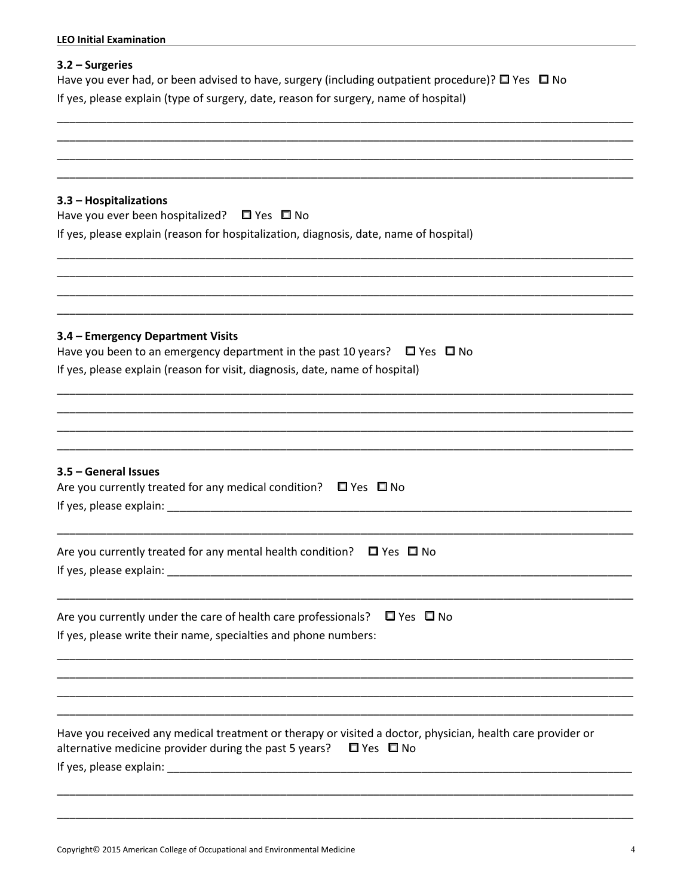| <b>LEO Initial Examination</b>                                                                                                                                                                                                |
|-------------------------------------------------------------------------------------------------------------------------------------------------------------------------------------------------------------------------------|
| $3.2 - Surgeries$<br>Have you ever had, or been advised to have, surgery (including outpatient procedure)? $\square$ Yes $\square$ No<br>If yes, please explain (type of surgery, date, reason for surgery, name of hospital) |
|                                                                                                                                                                                                                               |
| 3.3 - Hospitalizations<br>Have you ever been hospitalized? $\Box$ Yes $\Box$ No<br>If yes, please explain (reason for hospitalization, diagnosis, date, name of hospital)                                                     |
| 3.4 - Emergency Department Visits<br>Have you been to an emergency department in the past 10 years? $\Box$ Yes $\Box$ No<br>If yes, please explain (reason for visit, diagnosis, date, name of hospital)                      |
| 3.5 - General Issues<br>Are you currently treated for any medical condition? $\square$ Yes $\square$ No<br>If yes, please explain:                                                                                            |
| Are you currently treated for any mental health condition? $\Box$ Yes $\Box$ No                                                                                                                                               |
| Are you currently under the care of health care professionals?<br>$\Box$ Yes $\Box$ No<br>If yes, please write their name, specialties and phone numbers:                                                                     |
| Have you received any medical treatment or therapy or visited a doctor, physician, health care provider or<br>alternative medicine provider during the past 5 years? $\square$ Yes $\square$ No                               |
|                                                                                                                                                                                                                               |

\_\_\_\_\_\_\_\_\_\_\_\_\_\_\_\_\_\_\_\_\_\_\_\_\_\_\_\_\_\_\_\_\_\_\_\_\_\_\_\_\_\_\_\_\_\_\_\_\_\_\_\_\_\_\_\_\_\_\_\_\_\_\_\_\_\_\_\_\_\_\_\_\_\_\_\_\_\_\_\_\_\_\_\_\_\_\_\_\_\_\_\_\_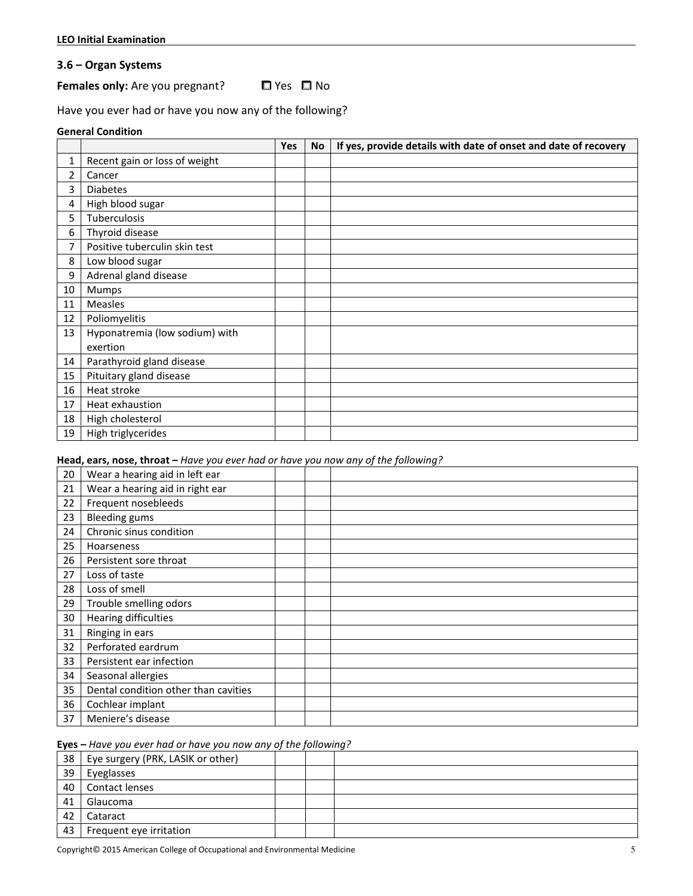#### 3.6 – Organ Systems

#### **Females only:** Are you pregnant?  $\Box$  Yes  $\Box$  No

Have you ever had or have you now any of the following?

#### General Condition

|    |                                | Yes | No | If yes, provide details with date of onset and date of recovery |
|----|--------------------------------|-----|----|-----------------------------------------------------------------|
| 1  | Recent gain or loss of weight  |     |    |                                                                 |
| 2  | Cancer                         |     |    |                                                                 |
| 3  | <b>Diabetes</b>                |     |    |                                                                 |
| 4  | High blood sugar               |     |    |                                                                 |
| 5. | Tuberculosis                   |     |    |                                                                 |
| 6  | Thyroid disease                |     |    |                                                                 |
| 7  | Positive tuberculin skin test  |     |    |                                                                 |
| 8  | Low blood sugar                |     |    |                                                                 |
| 9  | Adrenal gland disease          |     |    |                                                                 |
| 10 | Mumps                          |     |    |                                                                 |
| 11 | Measles                        |     |    |                                                                 |
| 12 | Poliomyelitis                  |     |    |                                                                 |
| 13 | Hyponatremia (low sodium) with |     |    |                                                                 |
|    | exertion                       |     |    |                                                                 |
| 14 | Parathyroid gland disease      |     |    |                                                                 |
| 15 | Pituitary gland disease        |     |    |                                                                 |
| 16 | Heat stroke                    |     |    |                                                                 |
| 17 | Heat exhaustion                |     |    |                                                                 |
| 18 | High cholesterol               |     |    |                                                                 |
| 19 | High triglycerides             |     |    |                                                                 |

#### Head, ears, nose, throat - Have you ever had or have you now any of the following?

| 20 | Wear a hearing aid in left ear       |  |  |
|----|--------------------------------------|--|--|
| 21 | Wear a hearing aid in right ear      |  |  |
| 22 | Frequent nosebleeds                  |  |  |
| 23 | <b>Bleeding gums</b>                 |  |  |
| 24 | Chronic sinus condition              |  |  |
| 25 | Hoarseness                           |  |  |
| 26 | Persistent sore throat               |  |  |
| 27 | Loss of taste                        |  |  |
| 28 | Loss of smell                        |  |  |
| 29 | Trouble smelling odors               |  |  |
| 30 | <b>Hearing difficulties</b>          |  |  |
| 31 | Ringing in ears                      |  |  |
| 32 | Perforated eardrum                   |  |  |
| 33 | Persistent ear infection             |  |  |
| 34 | Seasonal allergies                   |  |  |
| 35 | Dental condition other than cavities |  |  |
| 36 | Cochlear implant                     |  |  |
| 37 | Meniere's disease                    |  |  |

#### Eyes – Have you ever had or have you now any of the following?

| 38 | Eye surgery (PRK, LASIK or other) |  |  |
|----|-----------------------------------|--|--|
| 39 | Eyeglasses                        |  |  |
| 40 | Contact lenses                    |  |  |
| 41 | Glaucoma                          |  |  |
| 42 | Cataract                          |  |  |
| 43 | Frequent eye irritation           |  |  |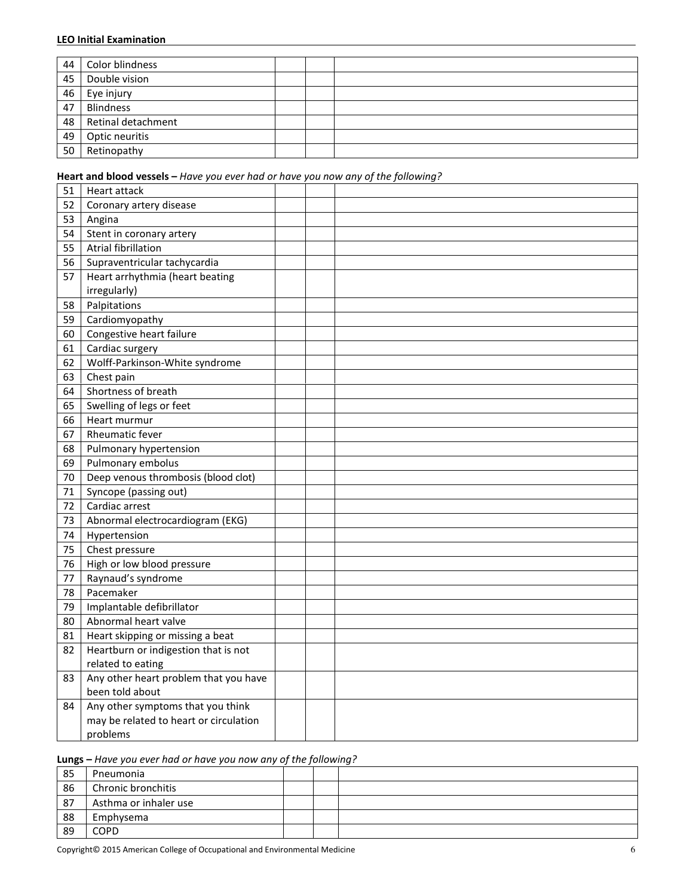| 44 | Color blindness    |  |  |
|----|--------------------|--|--|
| 45 | Double vision      |  |  |
| 46 | Eye injury         |  |  |
| 47 | <b>Blindness</b>   |  |  |
| 48 | Retinal detachment |  |  |
| 49 | Optic neuritis     |  |  |
| 50 | Retinopathy        |  |  |

### Heart and blood vessels - Have you ever had or have you now any of the following?

| 51 | Heart attack                           |  |  |
|----|----------------------------------------|--|--|
| 52 | Coronary artery disease                |  |  |
| 53 | Angina                                 |  |  |
| 54 | Stent in coronary artery               |  |  |
| 55 | <b>Atrial fibrillation</b>             |  |  |
| 56 | Supraventricular tachycardia           |  |  |
| 57 | Heart arrhythmia (heart beating        |  |  |
|    | irregularly)                           |  |  |
| 58 | Palpitations                           |  |  |
| 59 | Cardiomyopathy                         |  |  |
| 60 | Congestive heart failure               |  |  |
| 61 | Cardiac surgery                        |  |  |
| 62 | Wolff-Parkinson-White syndrome         |  |  |
| 63 | Chest pain                             |  |  |
| 64 | Shortness of breath                    |  |  |
| 65 | Swelling of legs or feet               |  |  |
| 66 | Heart murmur                           |  |  |
| 67 | Rheumatic fever                        |  |  |
| 68 | Pulmonary hypertension                 |  |  |
| 69 | Pulmonary embolus                      |  |  |
| 70 | Deep venous thrombosis (blood clot)    |  |  |
| 71 | Syncope (passing out)                  |  |  |
| 72 | Cardiac arrest                         |  |  |
| 73 | Abnormal electrocardiogram (EKG)       |  |  |
| 74 | Hypertension                           |  |  |
| 75 | Chest pressure                         |  |  |
| 76 | High or low blood pressure             |  |  |
| 77 | Raynaud's syndrome                     |  |  |
| 78 | Pacemaker                              |  |  |
| 79 | Implantable defibrillator              |  |  |
| 80 | Abnormal heart valve                   |  |  |
| 81 | Heart skipping or missing a beat       |  |  |
| 82 | Heartburn or indigestion that is not   |  |  |
|    | related to eating                      |  |  |
| 83 | Any other heart problem that you have  |  |  |
|    | been told about                        |  |  |
| 84 | Any other symptoms that you think      |  |  |
|    | may be related to heart or circulation |  |  |
|    | problems                               |  |  |

#### Lungs – Have you ever had or have you now any of the following?

| 85 | Pneumonia             |  |  |
|----|-----------------------|--|--|
| 86 | Chronic bronchitis    |  |  |
| 87 | Asthma or inhaler use |  |  |
| 88 | Emphysema             |  |  |
| 89 | <b>COPD</b>           |  |  |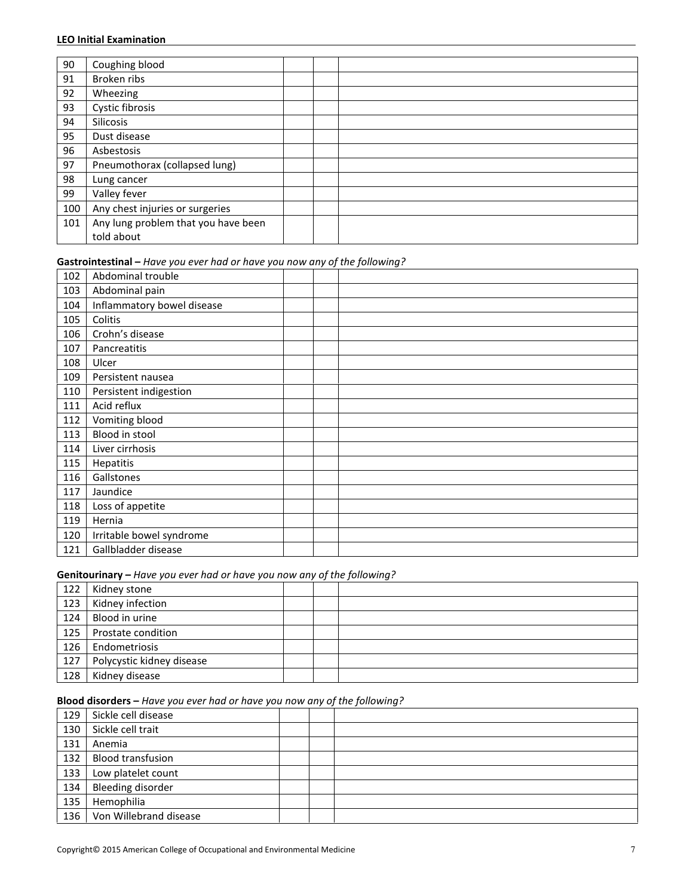| 90  | Coughing blood                      |  |
|-----|-------------------------------------|--|
| 91  | Broken ribs                         |  |
| 92  | Wheezing                            |  |
| 93  | Cystic fibrosis                     |  |
| 94  | Silicosis                           |  |
| 95  | Dust disease                        |  |
| 96  | Asbestosis                          |  |
| 97  | Pneumothorax (collapsed lung)       |  |
| 98  | Lung cancer                         |  |
| 99  | Valley fever                        |  |
| 100 | Any chest injuries or surgeries     |  |
| 101 | Any lung problem that you have been |  |
|     | told about                          |  |

#### Gastrointestinal – Have you ever had or have you now any of the following?

| 102 | Abdominal trouble          |  |
|-----|----------------------------|--|
| 103 | Abdominal pain             |  |
| 104 | Inflammatory bowel disease |  |
| 105 | Colitis                    |  |
| 106 | Crohn's disease            |  |
| 107 | Pancreatitis               |  |
| 108 | Ulcer                      |  |
| 109 | Persistent nausea          |  |
| 110 | Persistent indigestion     |  |
| 111 | Acid reflux                |  |
| 112 | Vomiting blood             |  |
| 113 | Blood in stool             |  |
| 114 | Liver cirrhosis            |  |
| 115 | Hepatitis                  |  |
| 116 | Gallstones                 |  |
| 117 | Jaundice                   |  |
| 118 | Loss of appetite           |  |
| 119 | Hernia                     |  |
| 120 | Irritable bowel syndrome   |  |
| 121 | Gallbladder disease        |  |

#### Genitourinary – Have you ever had or have you now any of the following?

|     |                           | . |  |
|-----|---------------------------|---|--|
| 122 | Kidney stone              |   |  |
| 123 | Kidney infection          |   |  |
| 124 | Blood in urine            |   |  |
| 125 | Prostate condition        |   |  |
| 126 | Endometriosis             |   |  |
| 127 | Polycystic kidney disease |   |  |
| 128 | Kidney disease            |   |  |

#### Blood disorders – Have you ever had or have you now any of the following?

| 129 | Sickle cell disease      |  |  |
|-----|--------------------------|--|--|
| 130 | Sickle cell trait        |  |  |
| 131 | Anemia                   |  |  |
| 132 | <b>Blood transfusion</b> |  |  |
| 133 | Low platelet count       |  |  |
| 134 | Bleeding disorder        |  |  |
| 135 | Hemophilia               |  |  |
| 136 | Von Willebrand disease   |  |  |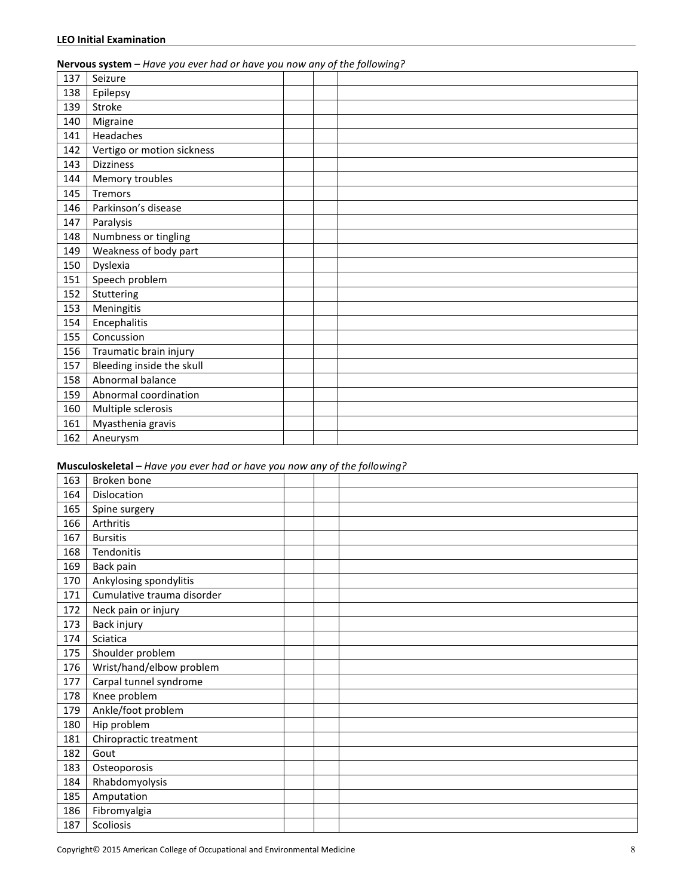#### Nervous system – Have you ever had or have you now any of the following?

| 137 | Seizure                    |  |
|-----|----------------------------|--|
| 138 | Epilepsy                   |  |
| 139 | Stroke                     |  |
| 140 | Migraine                   |  |
| 141 | Headaches                  |  |
| 142 | Vertigo or motion sickness |  |
| 143 | <b>Dizziness</b>           |  |
| 144 | Memory troubles            |  |
| 145 | <b>Tremors</b>             |  |
| 146 | Parkinson's disease        |  |
| 147 | Paralysis                  |  |
| 148 | Numbness or tingling       |  |
| 149 | Weakness of body part      |  |
| 150 | Dyslexia                   |  |
| 151 | Speech problem             |  |
| 152 | Stuttering                 |  |
| 153 | Meningitis                 |  |
| 154 | Encephalitis               |  |
| 155 | Concussion                 |  |
| 156 | Traumatic brain injury     |  |
| 157 | Bleeding inside the skull  |  |
| 158 | Abnormal balance           |  |
| 159 | Abnormal coordination      |  |
| 160 | Multiple sclerosis         |  |
| 161 | Myasthenia gravis          |  |
| 162 | Aneurysm                   |  |

#### Musculoskeletal – Have you ever had or have you now any of the following?

| 163 | Broken bone                |  |
|-----|----------------------------|--|
| 164 | Dislocation                |  |
| 165 | Spine surgery              |  |
| 166 | Arthritis                  |  |
| 167 | <b>Bursitis</b>            |  |
| 168 | Tendonitis                 |  |
| 169 | Back pain                  |  |
| 170 | Ankylosing spondylitis     |  |
| 171 | Cumulative trauma disorder |  |
| 172 | Neck pain or injury        |  |
| 173 | Back injury                |  |
| 174 | Sciatica                   |  |
| 175 | Shoulder problem           |  |
| 176 | Wrist/hand/elbow problem   |  |
| 177 | Carpal tunnel syndrome     |  |
| 178 | Knee problem               |  |
| 179 | Ankle/foot problem         |  |
| 180 | Hip problem                |  |
| 181 | Chiropractic treatment     |  |
| 182 | Gout                       |  |
| 183 | Osteoporosis               |  |
| 184 | Rhabdomyolysis             |  |
| 185 | Amputation                 |  |
| 186 | Fibromyalgia               |  |
| 187 | Scoliosis                  |  |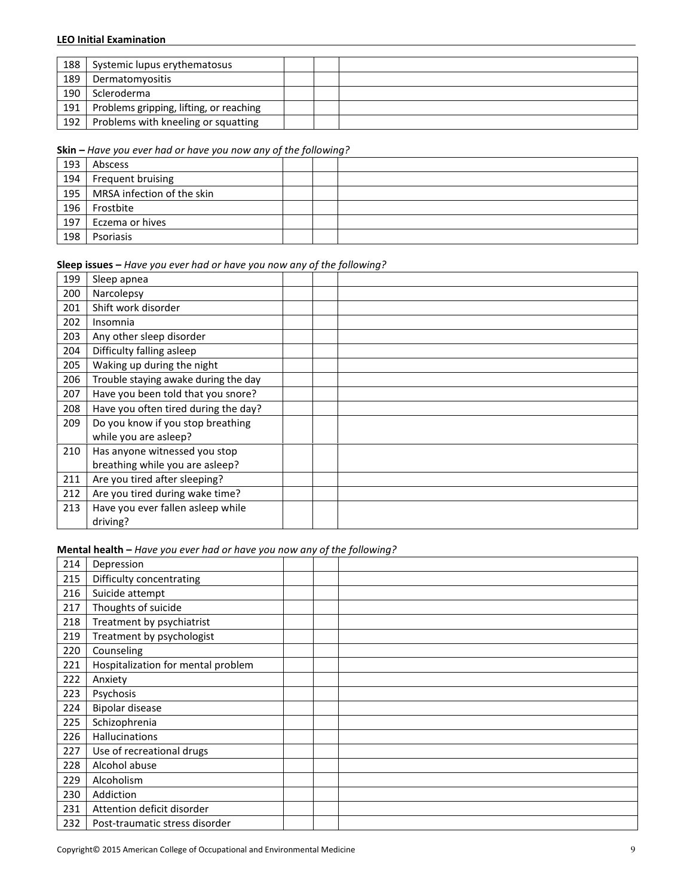| 188 | Systemic lupus erythematosus            |  |  |
|-----|-----------------------------------------|--|--|
| 189 | Dermatomyositis                         |  |  |
| 190 | Scleroderma                             |  |  |
| 191 | Problems gripping, lifting, or reaching |  |  |
| 192 | Problems with kneeling or squatting     |  |  |

#### Skin – Have you ever had or have you now any of the following?

| 193 | Abscess                    |  |  |
|-----|----------------------------|--|--|
| 194 | Frequent bruising          |  |  |
| 195 | MRSA infection of the skin |  |  |
| 196 | Frostbite                  |  |  |
| 197 | Eczema or hives            |  |  |
| 198 | Psoriasis                  |  |  |

#### Sleep issues – Have you ever had or have you now any of the following?

| 199 | Sleep apnea                          |  |
|-----|--------------------------------------|--|
| 200 | Narcolepsy                           |  |
| 201 | Shift work disorder                  |  |
| 202 | Insomnia                             |  |
| 203 | Any other sleep disorder             |  |
| 204 | Difficulty falling asleep            |  |
| 205 | Waking up during the night           |  |
| 206 | Trouble staying awake during the day |  |
| 207 | Have you been told that you snore?   |  |
| 208 | Have you often tired during the day? |  |
| 209 | Do you know if you stop breathing    |  |
|     | while you are asleep?                |  |
| 210 | Has anyone witnessed you stop        |  |
|     | breathing while you are asleep?      |  |
| 211 | Are you tired after sleeping?        |  |
| 212 | Are you tired during wake time?      |  |
| 213 | Have you ever fallen asleep while    |  |
|     | driving?                             |  |

Mental health – Have you ever had or have you now any of the following?

| 214 | Depression                         |  |
|-----|------------------------------------|--|
| 215 | Difficulty concentrating           |  |
| 216 | Suicide attempt                    |  |
| 217 | Thoughts of suicide                |  |
| 218 | Treatment by psychiatrist          |  |
| 219 | Treatment by psychologist          |  |
| 220 | Counseling                         |  |
| 221 | Hospitalization for mental problem |  |
| 222 | Anxiety                            |  |
| 223 | Psychosis                          |  |
| 224 | Bipolar disease                    |  |
| 225 | Schizophrenia                      |  |
| 226 | Hallucinations                     |  |
| 227 | Use of recreational drugs          |  |
| 228 | Alcohol abuse                      |  |
| 229 | Alcoholism                         |  |
| 230 | Addiction                          |  |
| 231 | Attention deficit disorder         |  |
| 232 | Post-traumatic stress disorder     |  |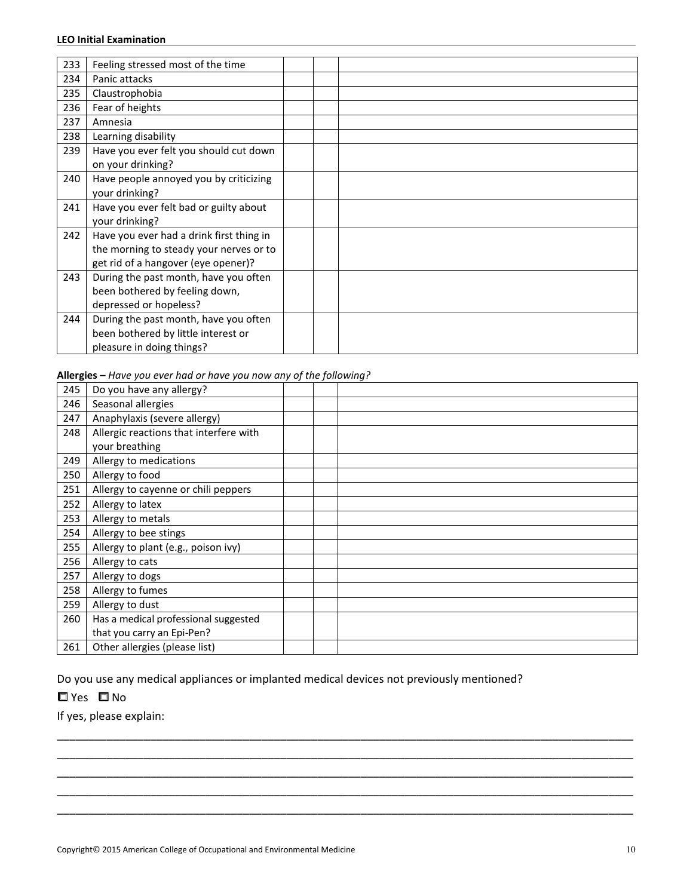| 233 | Feeling stressed most of the time                                                                                          |  |
|-----|----------------------------------------------------------------------------------------------------------------------------|--|
| 234 | Panic attacks                                                                                                              |  |
| 235 | Claustrophobia                                                                                                             |  |
| 236 | Fear of heights                                                                                                            |  |
| 237 | Amnesia                                                                                                                    |  |
| 238 | Learning disability                                                                                                        |  |
| 239 | Have you ever felt you should cut down<br>on your drinking?                                                                |  |
| 240 | Have people annoyed you by criticizing<br>your drinking?                                                                   |  |
| 241 | Have you ever felt bad or guilty about<br>your drinking?                                                                   |  |
| 242 | Have you ever had a drink first thing in<br>the morning to steady your nerves or to<br>get rid of a hangover (eye opener)? |  |
| 243 | During the past month, have you often<br>been bothered by feeling down,<br>depressed or hopeless?                          |  |
| 244 | During the past month, have you often<br>been bothered by little interest or<br>pleasure in doing things?                  |  |

Allergies – Have you ever had or have you now any of the following?

| 245 | Do you have any allergy?               |  |
|-----|----------------------------------------|--|
| 246 | Seasonal allergies                     |  |
| 247 | Anaphylaxis (severe allergy)           |  |
| 248 | Allergic reactions that interfere with |  |
|     | your breathing                         |  |
| 249 | Allergy to medications                 |  |
| 250 | Allergy to food                        |  |
| 251 | Allergy to cayenne or chili peppers    |  |
| 252 | Allergy to latex                       |  |
| 253 | Allergy to metals                      |  |
| 254 | Allergy to bee stings                  |  |
| 255 | Allergy to plant (e.g., poison ivy)    |  |
| 256 | Allergy to cats                        |  |
| 257 | Allergy to dogs                        |  |
| 258 | Allergy to fumes                       |  |
| 259 | Allergy to dust                        |  |
| 260 | Has a medical professional suggested   |  |
|     | that you carry an Epi-Pen?             |  |
| 261 | Other allergies (please list)          |  |

\_\_\_\_\_\_\_\_\_\_\_\_\_\_\_\_\_\_\_\_\_\_\_\_\_\_\_\_\_\_\_\_\_\_\_\_\_\_\_\_\_\_\_\_\_\_\_\_\_\_\_\_\_\_\_\_\_\_\_\_\_\_\_\_\_\_\_\_\_\_\_\_\_\_\_\_\_\_\_\_\_\_\_\_\_\_\_\_\_\_\_\_\_ \_\_\_\_\_\_\_\_\_\_\_\_\_\_\_\_\_\_\_\_\_\_\_\_\_\_\_\_\_\_\_\_\_\_\_\_\_\_\_\_\_\_\_\_\_\_\_\_\_\_\_\_\_\_\_\_\_\_\_\_\_\_\_\_\_\_\_\_\_\_\_\_\_\_\_\_\_\_\_\_\_\_\_\_\_\_\_\_\_\_\_\_\_ \_\_\_\_\_\_\_\_\_\_\_\_\_\_\_\_\_\_\_\_\_\_\_\_\_\_\_\_\_\_\_\_\_\_\_\_\_\_\_\_\_\_\_\_\_\_\_\_\_\_\_\_\_\_\_\_\_\_\_\_\_\_\_\_\_\_\_\_\_\_\_\_\_\_\_\_\_\_\_\_\_\_\_\_\_\_\_\_\_\_\_\_\_ \_\_\_\_\_\_\_\_\_\_\_\_\_\_\_\_\_\_\_\_\_\_\_\_\_\_\_\_\_\_\_\_\_\_\_\_\_\_\_\_\_\_\_\_\_\_\_\_\_\_\_\_\_\_\_\_\_\_\_\_\_\_\_\_\_\_\_\_\_\_\_\_\_\_\_\_\_\_\_\_\_\_\_\_\_\_\_\_\_\_\_\_\_ \_\_\_\_\_\_\_\_\_\_\_\_\_\_\_\_\_\_\_\_\_\_\_\_\_\_\_\_\_\_\_\_\_\_\_\_\_\_\_\_\_\_\_\_\_\_\_\_\_\_\_\_\_\_\_\_\_\_\_\_\_\_\_\_\_\_\_\_\_\_\_\_\_\_\_\_\_\_\_\_\_\_\_\_\_\_\_\_\_\_\_\_\_

Do you use any medical appliances or implanted medical devices not previously mentioned?

□ Yes □ No

If yes, please explain: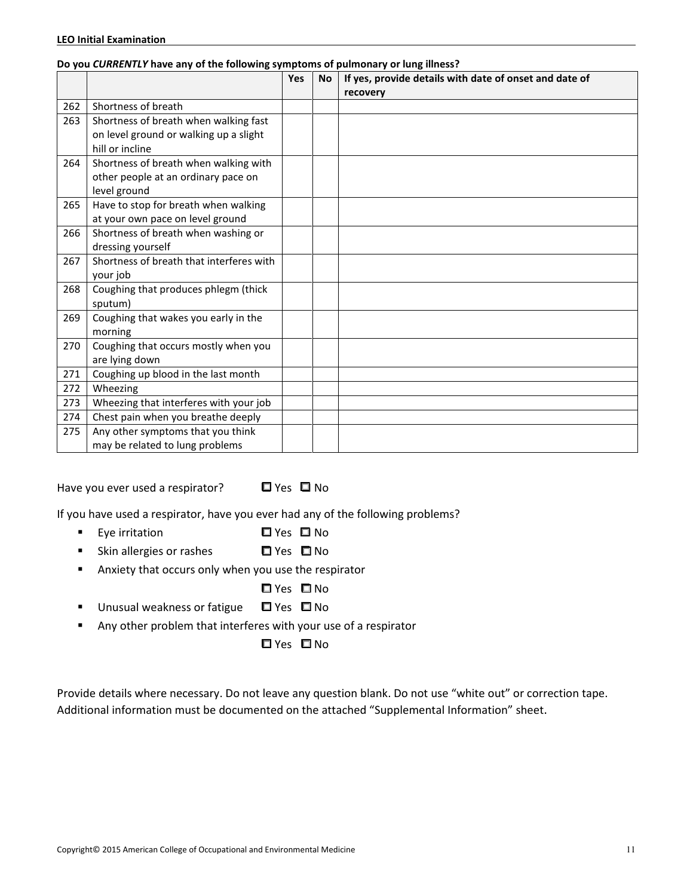|     | o you connenter have any or the following symptoms or palmonary or lang inness; | <b>Yes</b> | <b>No</b> | If yes, provide details with date of onset and date of |
|-----|---------------------------------------------------------------------------------|------------|-----------|--------------------------------------------------------|
|     |                                                                                 |            |           | recovery                                               |
| 262 | Shortness of breath                                                             |            |           |                                                        |
| 263 | Shortness of breath when walking fast                                           |            |           |                                                        |
|     | on level ground or walking up a slight                                          |            |           |                                                        |
|     | hill or incline                                                                 |            |           |                                                        |
| 264 | Shortness of breath when walking with                                           |            |           |                                                        |
|     | other people at an ordinary pace on                                             |            |           |                                                        |
|     | level ground                                                                    |            |           |                                                        |
| 265 | Have to stop for breath when walking                                            |            |           |                                                        |
|     | at your own pace on level ground                                                |            |           |                                                        |
| 266 | Shortness of breath when washing or                                             |            |           |                                                        |
|     | dressing yourself                                                               |            |           |                                                        |
| 267 | Shortness of breath that interferes with                                        |            |           |                                                        |
|     | your job                                                                        |            |           |                                                        |
| 268 | Coughing that produces phlegm (thick                                            |            |           |                                                        |
|     | sputum)                                                                         |            |           |                                                        |
| 269 | Coughing that wakes you early in the                                            |            |           |                                                        |
|     | morning                                                                         |            |           |                                                        |
| 270 | Coughing that occurs mostly when you                                            |            |           |                                                        |
|     | are lying down                                                                  |            |           |                                                        |
| 271 | Coughing up blood in the last month                                             |            |           |                                                        |
| 272 | Wheezing                                                                        |            |           |                                                        |
| 273 | Wheezing that interferes with your job                                          |            |           |                                                        |
| 274 | Chest pain when you breathe deeply                                              |            |           |                                                        |
| 275 | Any other symptoms that you think                                               |            |           |                                                        |
|     | may be related to lung problems                                                 |            |           |                                                        |

#### Do you CURRENTLY have any of the following symptoms of pulmonary or lung illness?

Have you ever used a respirator?  $\Box$  Yes  $\Box$  No

If you have used a respirator, have you ever had any of the following problems?

- -Eye irritation  $\Box$  Yes  $\Box$  No
- -Skin allergies or rashes  $\Box$  Yes  $\Box$  No
- - Anxiety that occurs only when you use the respirator
	- □ Yes □ No
- Unusual weakness or fatigue Yes No
- -Any other problem that interferes with your use of a respirator

**O**Yes **O**No

Provide details where necessary. Do not leave any question blank. Do not use "white out" or correction tape. Additional information must be documented on the attached "Supplemental Information" sheet.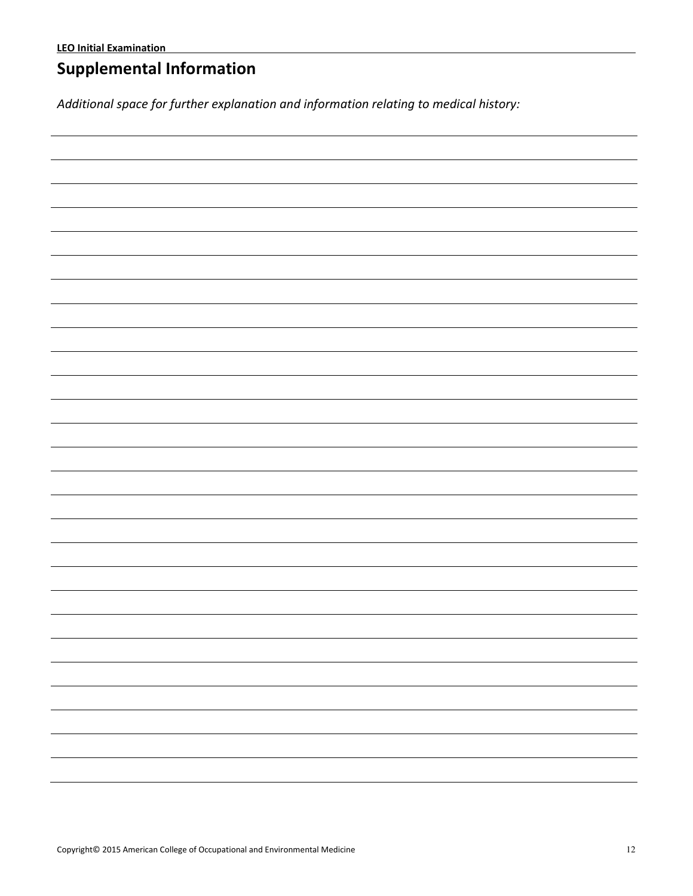# Supplemental Information

Additional space for further explanation and information relating to medical history: